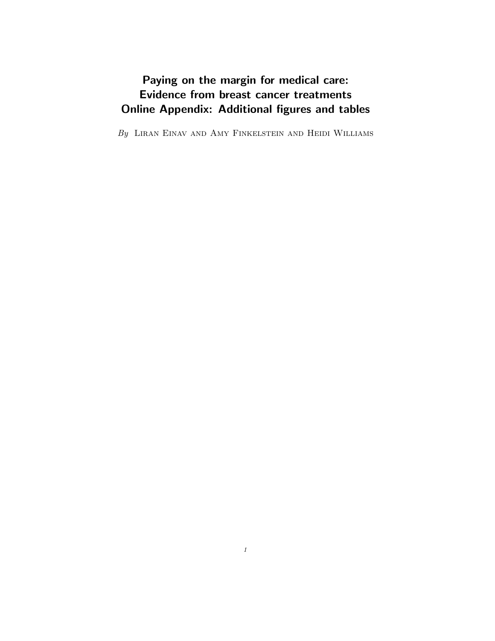## Paying on the margin for medical care: Evidence from breast cancer treatments Online Appendix: Additional figures and tables

 $\mathit{By}~$  Liran Einav and Amy Finkelstein and Heidi Williams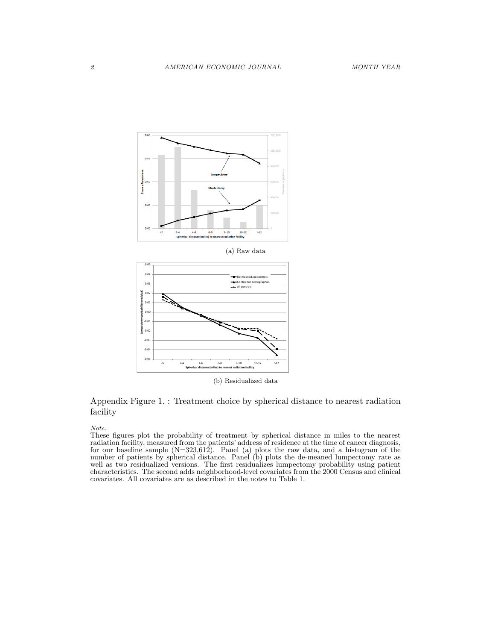

(a) Raw data



(b) Residualized data

## Appendix Figure 1. : Treatment choice by spherical distance to nearest radiation facility

Note:

These figures plot the probability of treatment by spherical distance in miles to the nearest radiation facility, measured from the patients' address of residence at the time of cancer diagnosis, for our baseline sample  $(N=323,612)$ . Panel (a) plots the raw data, and a histogram of the number of patients by spherical distance. Panel (b) plots the de-meaned lumpectomy rate as well as two residualized versions. The first residualizes lumpectomy probability using patient characteristics. The second adds neighborhood-level covariates from the 2000 Census and clinical covariates. All covariates are as described in the notes to Table 1.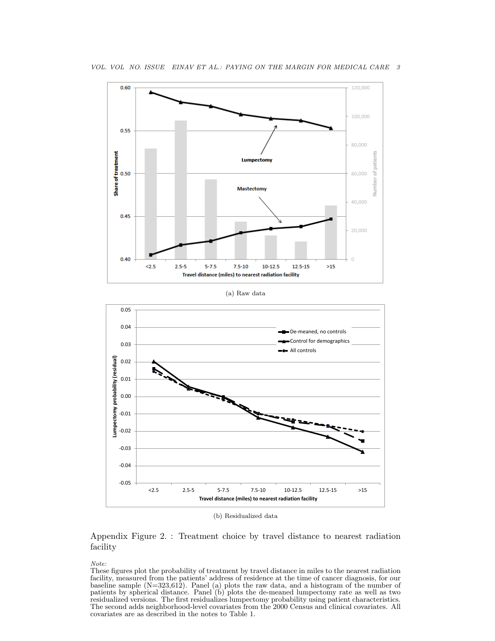

(b) Residualized data

**Travel distance (miles) to nearest radiation facility**

Appendix Figure 2. : Treatment choice by travel distance to nearest radiation facility

Note:

These figures plot the probability of treatment by travel distance in miles to the nearest radiation facility, measured from the patients' address of residence at the time of cancer diagnosis, for our baseline sample (N=323,612). Panel (a) plots the raw data, and a histogram of the number of patients by spherical distance. Panel (b) plots the de-meaned lumpectomy rate as well as two residualized versions. The first residualizes lumpectomy probability using patient characteristics. The second adds neighborhood-level covariates from the 2000 Census and clinical covariates. All covariates are as described in the notes to Table 1.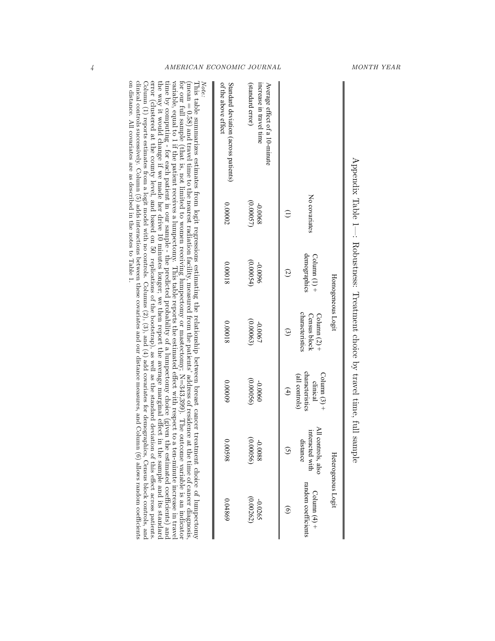|                                                                                                                                                                                                                                                                                                                                                                                                                                                                                                                                                                                                                                                                                                |               |                                       | Homogeneous Logit                                        |                                                                        |                                                   | Heterogenous Logit                    |
|------------------------------------------------------------------------------------------------------------------------------------------------------------------------------------------------------------------------------------------------------------------------------------------------------------------------------------------------------------------------------------------------------------------------------------------------------------------------------------------------------------------------------------------------------------------------------------------------------------------------------------------------------------------------------------------------|---------------|---------------------------------------|----------------------------------------------------------|------------------------------------------------------------------------|---------------------------------------------------|---------------------------------------|
|                                                                                                                                                                                                                                                                                                                                                                                                                                                                                                                                                                                                                                                                                                | No covariates | demographics<br>$\text{Column} (1)$ + | characteristics<br>Column $(2)$ +<br><b>Census block</b> | characteristics<br>$\text{Column} (3) +$<br>(all controls)<br>clinical | All controls, also<br>interacted with<br>distance | random coefficients<br>Column $(4)$ + |
|                                                                                                                                                                                                                                                                                                                                                                                                                                                                                                                                                                                                                                                                                                |               | $\overline{c}$                        | $\mathfrak{g}$                                           | $\left( 4\right)$                                                      | $\tilde{S}$                                       | $\widehat{\mathbf{e}}$                |
| Average effect of a 10-minute<br>increase in travel time                                                                                                                                                                                                                                                                                                                                                                                                                                                                                                                                                                                                                                       | -0.0068       | 9600'0-                               | -0.0067                                                  | 0900'0-                                                                | 8800.0-                                           | -0.0265                               |
| (standard error)                                                                                                                                                                                                                                                                                                                                                                                                                                                                                                                                                                                                                                                                               | (0.00057)     | (0.00054)                             | (0.00063)                                                | (0.00056)                                                              | 0.00056                                           | (0.00262)                             |
| of the above effect<br>Standard deviation (across patients)                                                                                                                                                                                                                                                                                                                                                                                                                                                                                                                                                                                                                                    | 0.00002       | 810000                                | 810000                                                   | 60000                                                                  | 00598                                             | 0.04869                               |
| carrial respect to 1 if the partient receives a Immortonux. This table reports the extimated effect stift respect to a ten-minite increase in traxely<br>for our full sample (that is, not limited to women receiving lumpectomy or mastectomy; N=343,399). The outcome variable is an indicator<br>Note:<br>(mean = 0.58) and travel time to the nearget radiation is explicitly, measured from the patients' address of residence<br>This table summarizes estimates between logic material states in the second parameter of the second present cancel that the reduct of logic $\sigma$ is the propert trees in the set of $\sigma$ is $\sigma$ is $\sigma$ is $\sigma$ is $\sigma$ is $\$ |               |                                       |                                                          |                                                                        |                                                   | at the time of cancer diagnosis       |

Appendix Table  $1-$ : Robustness: Treatment choice by travel time, full sample Appendix Table 1—: Robustness: Treatment choice by travel time, full sample

variable, equal to 1 the pathent receives a lumpeto-ny. This table repots its of a lume detect with respect to a tep-minated norgate in the variable way it would change if we made her dirive 10 mintes longer; we then repo on distance. All covariates are as described in the notes to Table 1. clinical controls successively. Column (5) adds interactions between these covariates and our distance measures, and Column (6) allows random coefficients Column (1) reports estimates for a logit model with no controls. Columns (2), (3), and (4) add covariates for demographics, Census block controls, and error (clustered at the county level, and based on 50 the way it would change if we made her drive 10 minutes longer; we then report the average marginal effect in the sample and its standard time by computing - for each patient in our sample - the predicted probability of a lumpectomy choice (given the estimated coefficients) and variable, equal to 1 if the patient receives a lumpectomy. This table reports the estimated effect with respect to a ten-minute increase in travel replications of the bootstrap), as well as the standard deviation of this effect across patients.

4 AMERICAN ECONOMIC JOURNAL MONTH YEAR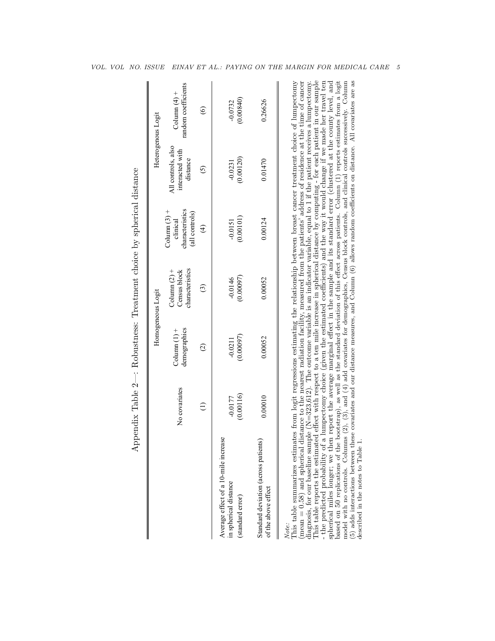| All controls, also<br>interacted with<br>(0.00120)<br>distance<br>$-0.0231$<br>$\odot$<br>characteristics<br>Column $(3)$ +<br>(all controls)<br>(0.00101)<br>clinical<br>$-0.0151$<br>$\bigoplus$<br>characteristics<br>Column $(2)$ +<br>Census block<br>(0.00097)<br>$-0.0146$<br>$\odot$<br>demographics<br>Column $(1)$ +<br>(0.00097)<br>$-0.0211$<br>$\odot$<br>No covariates<br>(0.00116)<br>$-0.0177$<br>$\ominus$<br>Average effect of a 10-mile increase<br>in spherical distance<br>(standard error) |                                                 |         |         | Heterogenous Logit                    |
|------------------------------------------------------------------------------------------------------------------------------------------------------------------------------------------------------------------------------------------------------------------------------------------------------------------------------------------------------------------------------------------------------------------------------------------------------------------------------------------------------------------|-------------------------------------------------|---------|---------|---------------------------------------|
|                                                                                                                                                                                                                                                                                                                                                                                                                                                                                                                  |                                                 |         |         | random coefficients<br>Column $(4)$ + |
|                                                                                                                                                                                                                                                                                                                                                                                                                                                                                                                  |                                                 |         |         | $\odot$                               |
|                                                                                                                                                                                                                                                                                                                                                                                                                                                                                                                  |                                                 |         |         | (0.00840)<br>$-0.0732$                |
| 0.01470<br>0.00052<br>of the above effect                                                                                                                                                                                                                                                                                                                                                                                                                                                                        | 0.00010<br>Standard deviation (across patients) | 0.00052 | 0.00124 | 0.26626                               |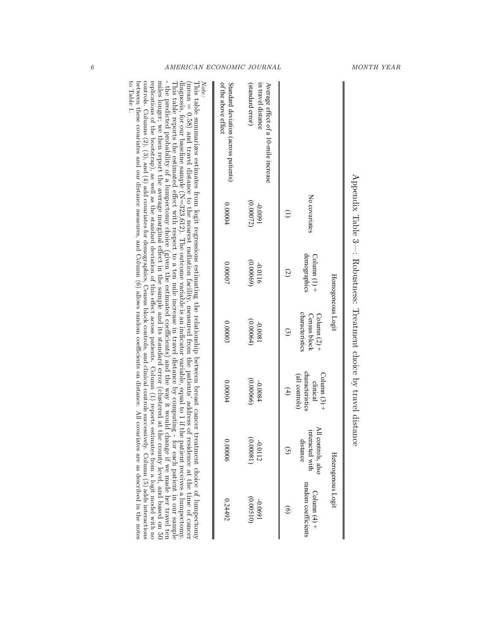|                                                                                                                                                                                                                                                                                                                                                                                                                                                                                                                                                                                                                                                                                       |                     |                                       | Homogeneous Logit                                        |                                                                        |                                                   | Heterogenous Logit                                                                                                            |
|---------------------------------------------------------------------------------------------------------------------------------------------------------------------------------------------------------------------------------------------------------------------------------------------------------------------------------------------------------------------------------------------------------------------------------------------------------------------------------------------------------------------------------------------------------------------------------------------------------------------------------------------------------------------------------------|---------------------|---------------------------------------|----------------------------------------------------------|------------------------------------------------------------------------|---------------------------------------------------|-------------------------------------------------------------------------------------------------------------------------------|
|                                                                                                                                                                                                                                                                                                                                                                                                                                                                                                                                                                                                                                                                                       | No covariates       | demographics<br>$\text{Column} (1) +$ | characteristics<br>Column $(2)$ +<br><b>Census block</b> | characteristics<br>$\text{Column} (3) +$<br>(all controls)<br>clinical | All controls, also<br>interacted with<br>distance | random coefficients<br>Column $(4)$ +                                                                                         |
|                                                                                                                                                                                                                                                                                                                                                                                                                                                                                                                                                                                                                                                                                       |                     | G                                     | $\widehat{\mathfrak{c}}$                                 | $\left( 4\right)$                                                      |                                                   |                                                                                                                               |
| Average effect of a 10-mile increase<br>(standard error)<br>in travel distance                                                                                                                                                                                                                                                                                                                                                                                                                                                                                                                                                                                                        | (0.00072)<br>16000- | (0.00069)<br>-0.0116                  | (0.00064)<br>1800.0-                                     | (0.00066)<br>-0.0084                                                   | 0.00081<br>$-0.0112$                              | (0.00510)<br>1690'0-                                                                                                          |
| of the above effect<br>Standard deviation (across patients)                                                                                                                                                                                                                                                                                                                                                                                                                                                                                                                                                                                                                           | 0.00004             | 0.00007                               | 0.00003                                                  | 0.00004                                                                | 900000                                            | 0.24492                                                                                                                       |
| diasonis, for our baseline sample $(N=323,612)$ . The notice at an indicator variable, equal to 1 if the<br>Note:<br>This table reports the estimated effect with respect to a ten mile increase in travel distance by computing -<br>(mean = 0.58) and travel distance to the nearest radiation facility, measured from the patients' address of residence at the time of cancer<br>This table summarizes estimates from logit regressions estimating the relationship between breast cancer treatment choice of lumpectomy<br>$\frac{1}{2}$<br>$\mathbf{1}$ , $\mathbf{2}$ , $\mathbf{3}$ , $\mathbf{4}$ , $\mathbf{5}$ , $\mathbf{5}$ , $\mathbf{6}$ , $\mathbf{6}$ , $\mathbf{7}$ |                     |                                       |                                                          |                                                                        | $\mathbb{R}^{\mathbb{C}}$ in the state            | for each patient in our sample<br>patient receives a lumpectomy.<br>$\frac{1}{2}$ of $\frac{1}{2}$ in the state $\frac{1}{2}$ |

Appendix Table  $3-$ : Robustness: Treatment choice by travel distance Appendix Table 3—: Robustness: Treatment choice by travel distance

- the predicted probability of a lumpectomy choice (given the estimated coefficients) and the way it would change if we made her travel ten miles longer; we then report the average marginal effect in the sample and its st - the predicted probability of a lumpectomy change if we mad the estimated coefficients) and the way it would change if we made her travel tends of  $\alpha$ to Table 1. between these covariaties and our distance measures, and Column (6) allows random coefficients on distance measures,  $\sin$ controls. Columns (2), and (4) add covariates for and clinical controls, controls, and clinical controls, column (5), and (4) add covariates for demographics, Column (5), and (4) add covariates for demographics, Column (5) replications of the bootstrap), as well as the standard deviation of this effect across patients. Column (1) reports estimates from a logit model with no miles longer; we then report the average marginal effect in the sample and its standard error (clustered at the county level, and based on 50

6 AMERICAN ECONOMIC JOURNAL MONTH YEAR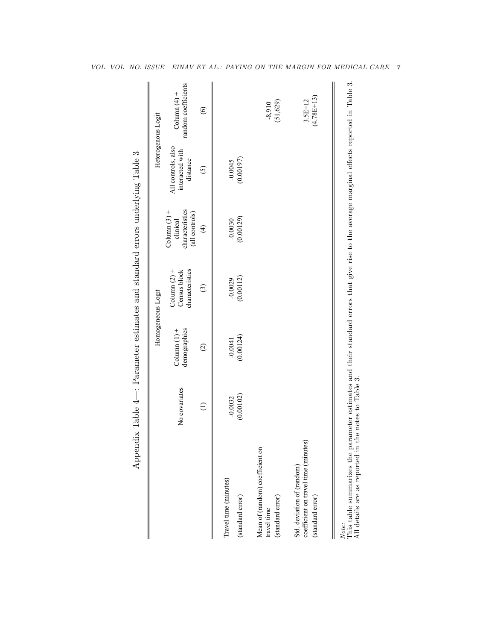|                                                                                        |                        |                                | Homogeneous Logit                                 |                                                                 |                                                   | Heterogenous Logit                    |
|----------------------------------------------------------------------------------------|------------------------|--------------------------------|---------------------------------------------------|-----------------------------------------------------------------|---------------------------------------------------|---------------------------------------|
|                                                                                        | No covariates          | demographics<br>Column $(1)$ + | characteristics<br>Column $(2)$ +<br>Census block | characteristics<br>Column $(3)$ +<br>(all controls)<br>clinical | All controls, also<br>interacted with<br>distance | random coefficients<br>Column $(4)$ + |
|                                                                                        | $\ominus$              | $\odot$                        | $\odot$                                           | $\bigoplus$                                                     | $\odot$                                           | $\odot$                               |
| Travel time (minutes)<br>(standard error)                                              | (0.00102)<br>$-0.0032$ | (0.00124)<br>$-0.0041$         | (0.00112)<br>$-0.0029$                            | (0.00129)<br>$-0.0030$                                          | (0.00197)<br>$-0.0045$                            |                                       |
| Mean of (random) coefficient on<br>(standard error)<br>travel time                     |                        |                                |                                                   |                                                                 |                                                   | (51, 629)<br>$-8,910$                 |
| coefficient on travel time (minutes)<br>Std. deviation of (random)<br>(standard error) |                        |                                |                                                   |                                                                 |                                                   | $(4.78E+13)$<br>$3.5E+12$             |

Note:<br>This table summarizes the parameter estimates and their standard errors that give rise to the average marginal effects reported in Table 3.<br>All details are as reported in the notes to Table 3. Ž, i gi ್ಕರ<br>ಸ  $\vec{a}$ This wave summarizes one parameter commates and  $\Delta II$  details are as reported in the notes to Table 3.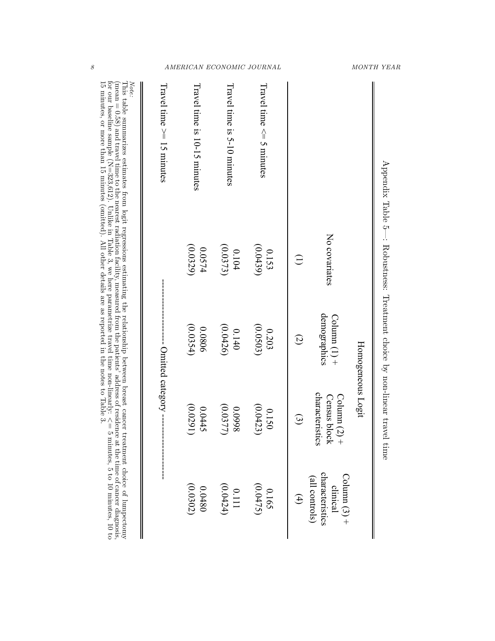|                                                                                                                                                                                                                                                                                                                                                                                                                                     | Appendix Table 5—: Robustness: Treatment choice by non-linear travel |                                       | Homogeneous Logit<br>time                                       |                                                                 |
|-------------------------------------------------------------------------------------------------------------------------------------------------------------------------------------------------------------------------------------------------------------------------------------------------------------------------------------------------------------------------------------------------------------------------------------|----------------------------------------------------------------------|---------------------------------------|-----------------------------------------------------------------|-----------------------------------------------------------------|
|                                                                                                                                                                                                                                                                                                                                                                                                                                     | No covariates                                                        | demographics<br>$\text{Column} (1)$ + | characteristics<br><b>Census block</b><br>$\text{Column} (2) +$ | characteristics<br>Column $(3)$ +<br>(all controls)<br>clinical |
|                                                                                                                                                                                                                                                                                                                                                                                                                                     | $\widehat{\Xi}$                                                      | $\widehat{\omega}$                    | $\widehat{\omega}$                                              | $\bigoplus$                                                     |
| Travel time ∧ = 5 minutes                                                                                                                                                                                                                                                                                                                                                                                                           | (0.0439)<br>0.153                                                    | (0.0503)<br>0.203                     | (0.0423)<br>0.150                                               | (0.0475)<br>0.165                                               |
| Havel time is 9-10 minutes                                                                                                                                                                                                                                                                                                                                                                                                          | (0.0373)<br>0.104                                                    | (0.0426)<br>0.140                     | (0.0377)<br>866000                                              | (0.0424)<br>0.111                                               |
| Hravel time is 10-15 minutes                                                                                                                                                                                                                                                                                                                                                                                                        | (0.0329)<br>420.0574                                                 | (0.0354)<br>0.0806                    | (0.0291)<br>0.0445                                              | (0.0302)<br>0.0480                                              |
| $Irad = 10$ and $I1 = 10$ and $I1 = 10$                                                                                                                                                                                                                                                                                                                                                                                             |                                                                      | ----- Omitted category ----           | <br> <br> <br>                                                  |                                                                 |
| This table summarizes estimates from logit regressions estimating the relationship between breast cancer treatment choice of lumpectomy<br>Note:<br>for our baseline sample (N=323,612). Unlike in Hable 3, we here parametrize travel time non-linearly: $\wedge \parallel$ 5 minutes, 5 to 10 minutes, 10 to<br>(mean = 0.58) and travel time to the nearest radiation facility, measured from the patients' address of residence |                                                                      |                                       |                                                                 | at the time of cancer diagnosis,                                |

This table summarizes estimates from logit regressions estimating the relationship between breast cancer treatment choice of lumpectomy Λ  $=$   $\frac{1}{2}$  minutes,  $\frac{1}{2}$  to  $\frac{1}{2}$  or  $\frac{1}{2}$  or  $\frac{1}{2}$  or  $\frac{1}{2}$ 15 minutes, or more than 15 minutes (opinited). All other details are as reported in the notes to Taple 3.

8 AMERICAN ECONOMIC JOURNAL MONTH YEAR